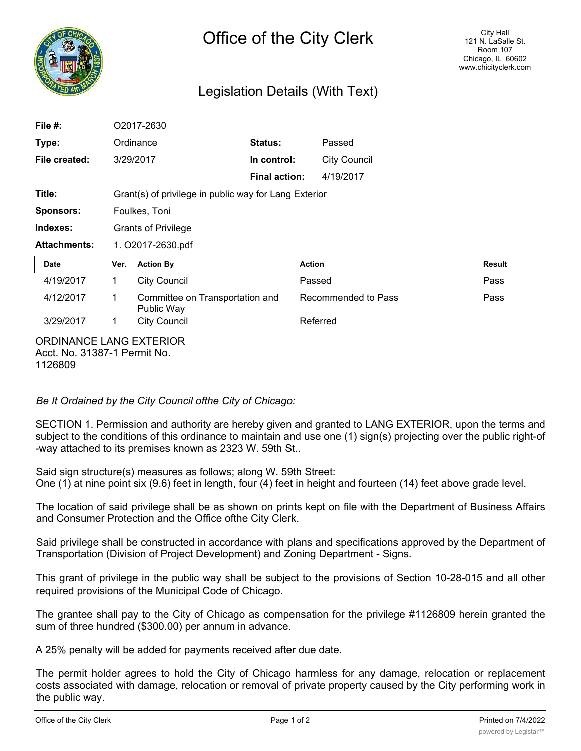

## Legislation Details (With Text)

| File $#$ :                                                                | O2017-2630                                            |                                               |                      |                     |                     |        |
|---------------------------------------------------------------------------|-------------------------------------------------------|-----------------------------------------------|----------------------|---------------------|---------------------|--------|
| Type:                                                                     | Ordinance                                             |                                               | Status:              |                     | Passed              |        |
| File created:                                                             |                                                       | 3/29/2017                                     | In control:          |                     | <b>City Council</b> |        |
|                                                                           |                                                       |                                               | <b>Final action:</b> |                     | 4/19/2017           |        |
| Title:                                                                    | Grant(s) of privilege in public way for Lang Exterior |                                               |                      |                     |                     |        |
| <b>Sponsors:</b>                                                          | Foulkes, Toni                                         |                                               |                      |                     |                     |        |
| Indexes:                                                                  | <b>Grants of Privilege</b>                            |                                               |                      |                     |                     |        |
| <b>Attachments:</b>                                                       | 1. O2017-2630.pdf                                     |                                               |                      |                     |                     |        |
| Date                                                                      | Ver.                                                  | <b>Action By</b>                              |                      | <b>Action</b>       |                     | Result |
| 4/19/2017                                                                 | $\mathbf 1$                                           | <b>City Council</b>                           |                      | Passed              |                     | Pass   |
| 4/12/2017                                                                 | 1                                                     | Committee on Transportation and<br>Public Way |                      | Recommended to Pass |                     | Pass   |
| 3/29/2017                                                                 | 1                                                     | <b>City Council</b>                           |                      | Referred            |                     |        |
| <b>ORDINANCE LANG EXTERIOR</b><br>Acct. No. 31387-1 Permit No.<br>1126809 |                                                       |                                               |                      |                     |                     |        |

*Be It Ordained by the City Council ofthe City of Chicago:*

SECTION 1. Permission and authority are hereby given and granted to LANG EXTERIOR, upon the terms and subject to the conditions of this ordinance to maintain and use one (1) sign(s) projecting over the public right-of -way attached to its premises known as 2323 W. 59th St..

Said sign structure(s) measures as follows; along W. 59th Street: One (1) at nine point six (9.6) feet in length, four (4) feet in height and fourteen (14) feet above grade level.

The location of said privilege shall be as shown on prints kept on file with the Department of Business Affairs and Consumer Protection and the Office ofthe City Clerk.

Said privilege shall be constructed in accordance with plans and specifications approved by the Department of Transportation (Division of Project Development) and Zoning Department - Signs.

This grant of privilege in the public way shall be subject to the provisions of Section 10-28-015 and all other required provisions of the Municipal Code of Chicago.

The grantee shall pay to the City of Chicago as compensation for the privilege #1126809 herein granted the sum of three hundred (\$300.00) per annum in advance.

A 25% penalty will be added for payments received after due date.

The permit holder agrees to hold the City of Chicago harmless for any damage, relocation or replacement costs associated with damage, relocation or removal of private property caused by the City performing work in the public way.